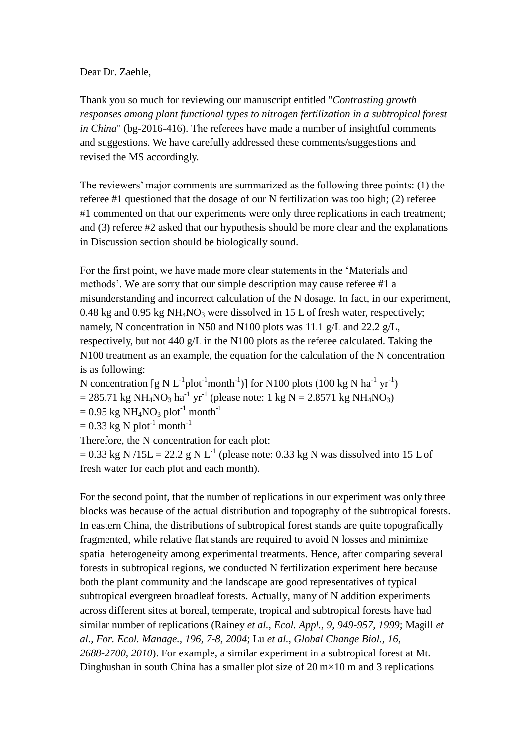## Dear Dr. Zaehle,

Thank you so much for reviewing our manuscript entitled "*Contrasting growth responses among plant functional types to nitrogen fertilization in a subtropical forest in China*" (bg-2016-416). The referees have made a number of insightful comments and suggestions. We have carefully addressed these comments/suggestions and revised the MS accordingly.

The reviewers' major comments are summarized as the following three points: (1) the referee #1 questioned that the dosage of our N fertilization was too high; (2) referee #1 commented on that our experiments were only three replications in each treatment; and (3) referee #2 asked that our hypothesis should be more clear and the explanations in Discussion section should be biologically sound.

For the first point, we have made more clear statements in the 'Materials and methods'. We are sorry that our simple description may cause referee #1 a misunderstanding and incorrect calculation of the N dosage. In fact, in our experiment, 0.48 kg and 0.95 kg  $NH_4NO_3$  were dissolved in 15 L of fresh water, respectively; namely, N concentration in N50 and N100 plots was 11.1 g/L and 22.2 g/L, respectively, but not 440 g/L in the N100 plots as the referee calculated. Taking the N100 treatment as an example, the equation for the calculation of the N concentration is as following:

N concentration [g N L<sup>-1</sup>plot<sup>-1</sup>month<sup>-1</sup>)] for N100 plots (100 kg N ha<sup>-1</sup> yr<sup>-1</sup>)  $= 285.71 \text{ kg } NH_4NO_3 \text{ ha}^{-1} \text{ yr}^{-1}$  (please note: 1 kg N = 2.8571 kg NH<sub>4</sub>NO<sub>3</sub>)  $= 0.95$  kg NH<sub>4</sub>NO<sub>3</sub> plot<sup>-1</sup> month<sup>-1</sup>

 $= 0.33$  kg N plot<sup>-1</sup> month<sup>-1</sup>

Therefore, the N concentration for each plot:

 $= 0.33$  kg N /15L = 22.2 g N L<sup>-1</sup> (please note: 0.33 kg N was dissolved into 15 L of fresh water for each plot and each month).

For the second point, that the number of replications in our experiment was only three blocks was because of the actual distribution and topography of the subtropical forests. In eastern China, the distributions of subtropical forest stands are quite topografically fragmented, while relative flat stands are required to avoid N losses and minimize spatial heterogeneity among experimental treatments. Hence, after comparing several forests in subtropical regions, we conducted N fertilization experiment here because both the plant community and the landscape are good representatives of typical subtropical evergreen broadleaf forests. Actually, many of N addition experiments across different sites at boreal, temperate, tropical and subtropical forests have had similar number of replications (Rainey *et al., Ecol. Appl., 9, 949-957, 1999*; Magill *et al., For. Ecol. Manage., 196, 7-8, 2004*; Lu *et al., Global Change Biol., 16, 2688-2700, 2010*). For example, a similar experiment in a subtropical forest at Mt. Dinghushan in south China has a smaller plot size of 20  $m \times 10$  m and 3 replications